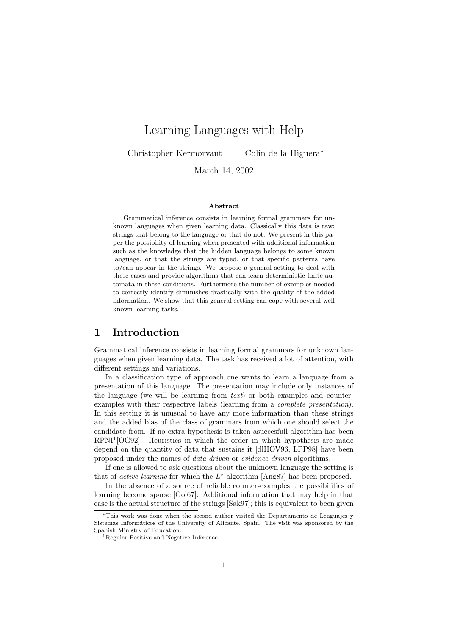# Learning Languages with Help

Christopher Kermorvant Colin de la Higuera<sup>∗</sup>

March 14, 2002

#### Abstract

Grammatical inference consists in learning formal grammars for unknown languages when given learning data. Classically this data is raw: strings that belong to the language or that do not. We present in this paper the possibility of learning when presented with additional information such as the knowledge that the hidden language belongs to some known language, or that the strings are typed, or that specific patterns have to/can appear in the strings. We propose a general setting to deal with these cases and provide algorithms that can learn deterministic finite automata in these conditions. Furthermore the number of examples needed to correctly identify diminishes drastically with the quality of the added information. We show that this general setting can cope with several well known learning tasks.

## 1 Introduction

Grammatical inference consists in learning formal grammars for unknown languages when given learning data. The task has received a lot of attention, with different settings and variations.

In a classification type of approach one wants to learn a language from a presentation of this language. The presentation may include only instances of the language (we will be learning from text) or both examples and counterexamples with their respective labels (learning from a complete presentation). In this setting it is unusual to have any more information than these strings and the added bias of the class of grammars from which one should select the candidate from. If no extra hypothesis is taken asuccesfull algorithm has been RPNI<sup>1</sup>[OG92]. Heuristics in which the order in which hypothesis are made depend on the quantity of data that sustains it [dlHOV96, LPP98] have been proposed under the names of *data driven* or *evidence driven* algorithms.

If one is allowed to ask questions about the unknown language the setting is that of *active learning* for which the  $L^*$  algorithm [Ang87] has been proposed.

In the absence of a source of reliable counter-examples the possibilities of learning become sparse [Gol67]. Additional information that may help in that case is the actual structure of the strings [Sak97]; this is equivalent to been given

<sup>∗</sup>This work was done when the second author visited the Departamento de Lenguajes y Sistemas Informáticos of the University of Alicante, Spain. The visit was sponsored by the Spanish Ministry of Education.

<sup>1</sup>Regular Positive and Negative Inference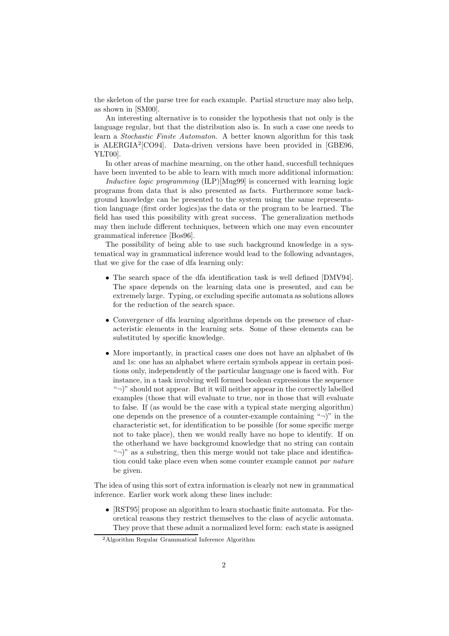the skeleton of the parse tree for each example. Partial structure may also help, as shown in [SM00].

An interesting alternative is to consider the hypothesis that not only is the language regular, but that the distribution also is. In such a case one needs to learn a Stochastic Finite Automaton. A better known algorithm for this task is ALERGIA<sup>2</sup>[CO94]. Data-driven versions have been provided in [GBE96, YLT00].

In other areas of machine mearning, on the other hand, succesfull techniques have been invented to be able to learn with much more additional information:

Inductive logic programming (ILP)[Mug99] is concerned with learning logic programs from data that is also presented as facts. Furthermore some background knowledge can be presented to the system using the same representation language (first order logics)as the data or the program to be learned. The field has used this possibility with great success. The generalization methods may then include different techniques, between which one may even encounter grammatical inference [Bos96].

The possibility of being able to use such background knowledge in a systematical way in grammatical inference would lead to the following advantages, that we give for the case of dfa learning only:

- The search space of the dfa identification task is well defined [DMV94]. The space depends on the learning data one is presented, and can be extremely large. Typing, or excluding specific automata as solutions allows for the reduction of the search space.
- Convergence of dfa learning algorithms depends on the presence of characteristic elements in the learning sets. Some of these elements can be substituted by specific knowledge.
- More importantly, in practical cases one does not have an alphabet of 0s and 1s: one has an alphabet where certain symbols appear in certain positions only, independently of the particular language one is faced with. For instance, in a task involving well formed boolean expressions the sequence " $\neg$ " should not appear. But it will neither appear in the correctly labelled examples (those that will evaluate to true, nor in those that will evaluate to false. If (as would be the case with a typical state merging algorithm) one depends on the presence of a counter-example containing " $\neg$ )" in the characteristic set, for identification to be possible (for some specific merge not to take place), then we would really have no hope to identify. If on the otherhand we have background knowledge that no string can contain " $\neg$ " as a substring, then this merge would not take place and identification could take place even when some counter example cannot par nature be given.

The idea of using this sort of extra information is clearly not new in grammatical inference. Earlier work work along these lines include:

• [RST95] propose an algorithm to learn stochastic finite automata. For theoretical reasons they restrict themselves to the class of acyclic automata. They prove that these admit a normalized level form: each state is assigned

<sup>2</sup>Algorithm Regular Grammatical Inference Algorithm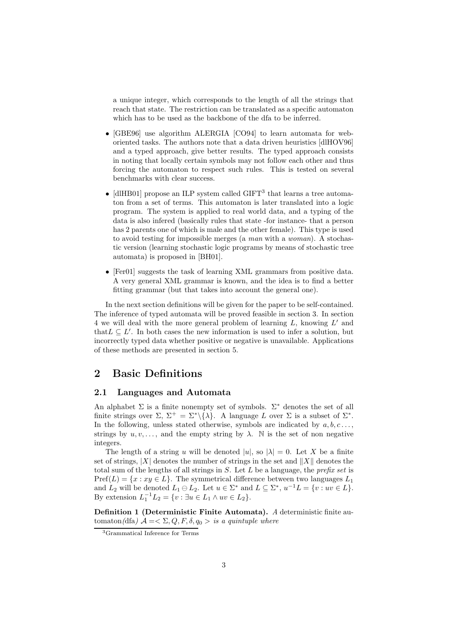a unique integer, which corresponds to the length of all the strings that reach that state. The restriction can be translated as a specific automaton which has to be used as the backbone of the dfa to be inferred.

- [GBE96] use algorithm ALERGIA [CO94] to learn automata for weboriented tasks. The authors note that a data driven heuristics [dlHOV96] and a typed approach, give better results. The typed approach consists in noting that locally certain symbols may not follow each other and thus forcing the automaton to respect such rules. This is tested on several benchmarks with clear success.
- [dlHB01] propose an ILP system called  $GIFT<sup>3</sup>$  that learns a tree automaton from a set of terms. This automaton is later translated into a logic program. The system is applied to real world data, and a typing of the data is also infered (basically rules that state -for instance- that a person has 2 parents one of which is male and the other female). This type is used to avoid testing for impossible merges (a man with a woman). A stochastic version (learning stochastic logic programs by means of stochastic tree automata) is proposed in [BH01].
- [Fer01] suggests the task of learning XML grammars from positive data. A very general XML grammar is known, and the idea is to find a better fitting grammar (but that takes into account the general one).

In the next section definitions will be given for the paper to be self-contained. The inference of typed automata will be proved feasible in section 3. In section 4 we will deal with the more general problem of learning  $L$ , knowing  $L'$  and that  $L \subseteq L'$ . In both cases the new information is used to infer a solution, but incorrectly typed data whether positive or negative is unavailable. Applications of these methods are presented in section 5.

# 2 Basic Definitions

#### 2.1 Languages and Automata

An alphabet  $\Sigma$  is a finite nonempty set of symbols.  $\Sigma^*$  denotes the set of all finite strings over  $\Sigma$ ,  $\Sigma^+ = \Sigma^* \setminus {\lambda}$ . A language L over  $\Sigma$  is a subset of  $\Sigma^*$ . In the following, unless stated otherwise, symbols are indicated by  $a, b, c \ldots$ , strings by  $u, v, \ldots$ , and the empty string by  $\lambda$ . N is the set of non negative integers.

The length of a string u will be denoted  $|u|$ , so  $|\lambda| = 0$ . Let X be a finite set of strings, |X| denotes the number of strings in the set and  $||X||$  denotes the total sum of the lengths of all strings in  $S$ . Let  $L$  be a language, the *prefix set* is  $Pref(L) = \{x : xy \in L\}$ . The symmetrical difference between two languages  $L_1$ and  $L_2$  will be denoted  $L_1 \ominus L_2$ . Let  $u \in \Sigma^*$  and  $L \subseteq \Sigma^*$ ,  $u^{-1}L = \{v : uv \in L\}$ . By extension  $L_1^{-1}L_2 = \{v : \exists u \in L_1 \wedge uv \in L_2\}.$ 

Definition 1 (Deterministic Finite Automata). A deterministic finite automaton(dfa)  $A = \langle \Sigma, Q, F, \delta, q_0 \rangle$  is a quintuple where

<sup>3</sup>Grammatical Inference for Terms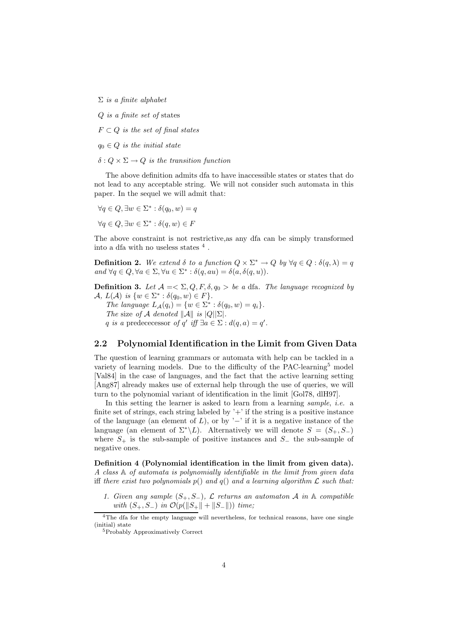$\Sigma$  is a finite alphabet

Q is a finite set of states

 $F \subset Q$  is the set of final states

 $q_0 \in Q$  is the initial state

 $\delta: Q \times \Sigma \rightarrow Q$  is the transition function

The above definition admits dfa to have inaccessible states or states that do not lead to any acceptable string. We will not consider such automata in this paper. In the sequel we will admit that:

$$
\forall q \in Q, \exists w \in \Sigma^* : \delta(q_0, w) = q
$$

$$
\forall q \in Q, \exists w \in \Sigma^* : \delta(q, w) \in F
$$

The above constraint is not restrictive,as any dfa can be simply transformed into a dfa with no useless states  $^4$  .

**Definition 2.** We extend  $\delta$  to a function  $Q \times \Sigma^* \to Q$  by  $\forall q \in Q : \delta(q, \lambda) = q$ and  $\forall q \in Q, \forall a \in \Sigma, \forall u \in \Sigma^* : \delta(q, au) = \delta(a, \delta(q, u)).$ 

**Definition 3.** Let  $A = \sum Q, F, \delta, q_0 > be$  a dfa. The language recognized by A,  $L(\mathcal{A})$  is  $\{w \in \Sigma^* : \delta(q_0, w) \in F\}.$ The language  $L_{\mathcal{A}}(q_i) = \{w \in \Sigma^* : \delta(q_0, w) = q_i\}.$ The size of A denoted  $||A||$  is  $|Q||\Sigma|$ . q is a predececessor of q' iff  $\exists a \in \Sigma : d(q, a) = q'$ .

#### 2.2 Polynomial Identification in the Limit from Given Data

The question of learning grammars or automata with help can be tackled in a variety of learning models. Due to the difficulty of the PAC-learning<sup>5</sup> model [Val84] in the case of languages, and the fact that the active learning setting [Ang87] already makes use of external help through the use of queries, we will turn to the polynomial variant of identification in the limit [Gol78, dlH97].

In this setting the learner is asked to learn from a learning sample, *i.e.* a finite set of strings, each string labeled by  $+$  if the string is a positive instance of the language (an element of L), or by  $\prime$ -' if it is a negative instance of the language (an element of  $\Sigma^*\backslash L$ ). Alternatively we will denote  $S = (S_+, S_-)$ where  $S_+$  is the sub-sample of positive instances and  $S_-\,$  the sub-sample of negative ones.

Definition 4 (Polynomial identification in the limit from given data). A class A of automata is polynomially identifiable in the limit from given data iff there exist two polynomials  $p()$  and  $q()$  and a learning algorithm  $\mathcal L$  such that:

1. Given any sample  $(S_+, S_-)$ ,  $\mathcal L$  returns an automaton  $\mathcal A$  in  $\mathbb A$  compatible with  $(S_+, S_-)$  in  $\mathcal{O}(p(||S_+|| + ||S_-||))$  time;

<sup>&</sup>lt;sup>4</sup>The dfa for the empty language will nevertheless, for technical reasons, have one single (initial) state

<sup>5</sup>Probably Approximatively Correct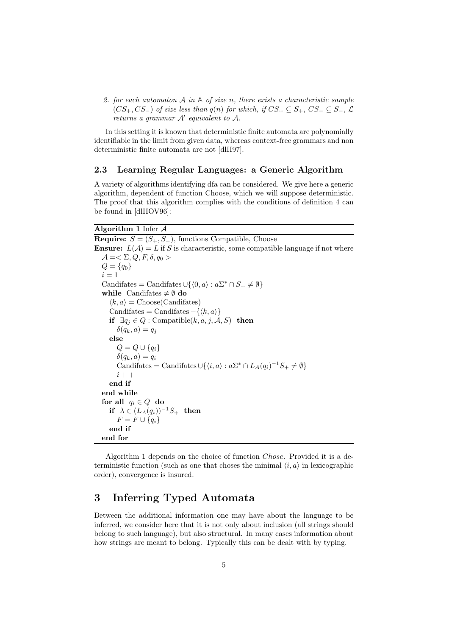2. for each automaton  $A$  in  $A$  of size n, there exists a characteristic sample  $(CS_+, CS_-)$  of size less than  $q(n)$  for which, if  $CS_+ \subseteq S_+$ ,  $CS_- \subseteq S_-$ ,  $\mathcal{L}$ returns a grammar  $A'$  equivalent to  $A$ .

In this setting it is known that deterministic finite automata are polynomially identifiable in the limit from given data, whereas context-free grammars and non deterministic finite automata are not [dlH97].

## 2.3 Learning Regular Languages: a Generic Algorithm

A variety of algorithms identifying dfa can be considered. We give here a generic algorithm, dependent of function Choose, which we will suppose deterministic. The proof that this algorithm complies with the conditions of definition 4 can be found in [dlHOV96]:

#### Algorithm 1 Infer A

**Require:**  $S = (S_+, S_-)$ , functions Compatible, Choose **Ensure:**  $L(\mathcal{A}) = L$  if S is characteristic, some compatible language if not where  $\mathcal{A} = \langle \Sigma, Q, F, \delta, q_0 \rangle$  $Q = \{q_0\}$  $i = 1$ Candifates = Candifates  $\cup \{ \langle 0, a \rangle : a\Sigma^* \cap S_+ \neq \emptyset \}$ while Candifates  $\neq \emptyset$  do  $\langle k, a \rangle$  = Choose(Candifates) Candifates = Candifates  $-\{\langle k, a \rangle\}$ if  $\exists q_j \in Q :$  Compatible $(k, a, j, A, S)$  then  $\delta(q_k, a) = q_j$ else  $Q = Q \cup \{q_i\}$  $\delta(q_k, a) = q_i$ Candifates = Candifates  $\cup \{ \langle i, a \rangle : a \Sigma^* \cap L_A(q_i)^{-1} S_+ \neq \emptyset \}$  $i + +$ end if end while for all  $q_i \in Q$  do if  $\lambda \in (L_A(q_i))^{-1}S_+$  then  $F = F \cup \{q_i\}$ end if end for

Algorithm 1 depends on the choice of function Chose. Provided it is a deterministic function (such as one that choses the minimal  $\langle i, a \rangle$  in lexicographic order), convergence is insured.

# 3 Inferring Typed Automata

Between the additional information one may have about the language to be inferred, we consider here that it is not only about inclusion (all strings should belong to such language), but also structural. In many cases information about how strings are meant to belong. Typically this can be dealt with by typing.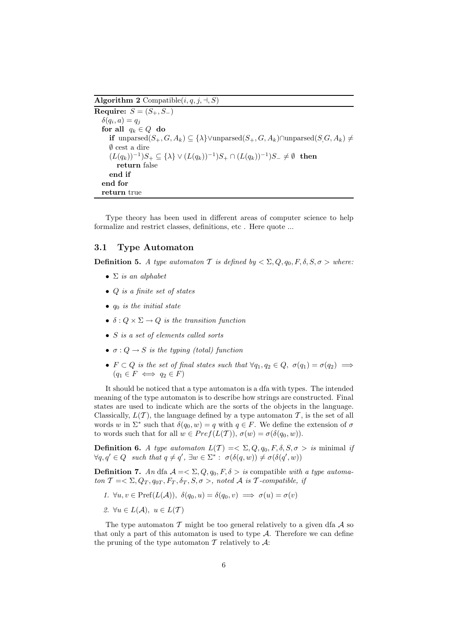Algorithm 2 Compatible $(i, q, j, \dashv, S)$ 

Require:  $S = (S_+, S_-)$  $\delta(q_i, a) = q_j$ for all  $q_k \in Q$  do if unparsed $(S_+, G, A_k)$  ⊆  $\{\lambda\}$   $\lor$ unparsed $(S_+, G, A_k)$  $\cap$ unparsed $(S, G, A_k)$  ≠ ∅ cest a dire  $(L(q_k))^{-1}S_+ \subseteq {\lambda} \vee (L(q_k))^{-1}S_+ \cap (L(q_k))^{-1}S_- \neq \emptyset$  then return false end if end for return true

Type theory has been used in different areas of computer science to help formalize and restrict classes, definitions, etc . Here quote ...

#### 3.1 Type Automaton

**Definition 5.** A type automator T is defined by  $\langle \Sigma, Q, q_0, F, \delta, S, \sigma \rangle$  where:

- $\Sigma$  is an alphabet
- Q is a finite set of states
- $q_0$  is the initial state
- $\delta: Q \times \Sigma \rightarrow Q$  is the transition function
- S is a set of elements called sorts
- $\sigma: Q \to S$  is the typing (total) function
- $F \subset Q$  is the set of final states such that  $\forall q_1, q_2 \in Q, \ \sigma(q_1) = \sigma(q_2) \implies$  $(q_1 \in F \iff q_2 \in F)$

It should be noticed that a type automaton is a dfa with types. The intended meaning of the type automaton is to describe how strings are constructed. Final states are used to indicate which are the sorts of the objects in the language. Classically,  $L(\mathcal{T})$ , the language defined by a type automaton  $\mathcal{T}$ , is the set of all words w in  $\Sigma^*$  such that  $\delta(q_0, w) = q$  with  $q \in F$ . We define the extension of  $\sigma$ to words such that for all  $w \in Pref(L(\mathcal{T}))$ ,  $\sigma(w) = \sigma(\delta(q_0, w))$ .

**Definition 6.** A type automaton  $L(T) = \sum Q, q_0, F, \delta, S, \sigma > i$  minimal if  $\forall q, q' \in Q$  such that  $q \neq q'$ ,  $\exists w \in \Sigma^* : \sigma(\delta(q, w)) \neq \sigma(\delta(q', w))$ 

**Definition 7.** An dfa  $A = \langle \Sigma, Q, q_0, F, \delta \rangle$  is compatible with a type automaton  $\mathcal{T} = \langle \Sigma, Q_T, q_{0T}, F_T, \delta_T, S, \sigma \rangle$ , noted A is T-compatible, if

- 1.  $\forall u, v \in \text{Pref}(L(\mathcal{A}))$ ,  $\delta(q_0, u) = \delta(q_0, v) \implies \sigma(u) = \sigma(v)$
- 2.  $\forall u \in L(\mathcal{A}), u \in L(\mathcal{T})$

The type automaton  $\mathcal T$  might be too general relatively to a given dfa  $\mathcal A$  so that only a part of this automaton is used to type  $A$ . Therefore we can define the pruning of the type automaton  $\mathcal T$  relatively to  $\mathcal A$ :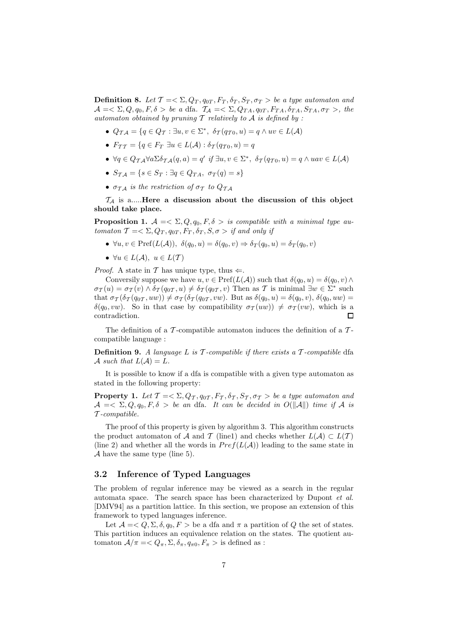**Definition 8.** Let  $T = \sum Q_T, q_{0T}, F_T, \delta_T, S_T, \sigma_T >$  be a type automaton and  $\mathcal{A} = \langle \Sigma, Q, q_0, F, \delta \rangle$  be a dfa.  $\mathcal{T}_{\mathcal{A}} = \langle \Sigma, Q_{TA}, q_{0T}, F_{TA}, \delta_{TA}, S_{TA}, \sigma_T \rangle$ , the automaton obtained by pruning  $\mathcal T$  relatively to  $\mathcal A$  is defined by :

- $Q_{\mathcal{TA}} = \{q \in Q_{\mathcal{T}} : \exists u, v \in \Sigma^*, \ \delta_{\mathcal{T}}(q_{\mathcal{T}0}, u) = q \wedge uv \in L(\mathcal{A})\}$
- $F_{TT} = \{q \in F_T \: \exists u \in L(\mathcal{A}) : \delta_T(q_{T0}, u) = q\}$
- $\forall q \in Q_{\mathcal{TA}} \forall a \Sigma \delta_{\mathcal{TA}}(q, a) = q' \text{ if } \exists u, v \in \Sigma^*, \ \delta_{\mathcal{TA}}(q_{\mathcal{TO}}, u) = q \land u \text{ a} v \in L(\mathcal{A})$
- $S_{\mathcal{T}A} = \{s \in S_T : \exists q \in Q_{TA}, \sigma_T(q) = s\}$
- $\sigma_{\tau}$  is the restriction of  $\sigma_{\tau}$  to  $Q_{\tau}$

 $\mathcal{T}_\mathcal{A}$  is a..... Here a discussion about the discussion of this object should take place.

**Proposition 1.**  $A = \langle \Sigma, Q, q_0, F, \delta \rangle$  is compatible with a minimal type automaton  $\mathcal{T} = \langle \Sigma, Q_T, q_{0T}, F_T, \delta_T, S, \sigma \rangle$  if and only if

- $\forall u, v \in \text{Pref}(L(\mathcal{A})), \ \delta(q_0, u) = \delta(q_0, v) \Rightarrow \delta_T(q_0, u) = \delta_T(q_0, v)$
- $\forall u \in L(\mathcal{A}), u \in L(\mathcal{T})$

*Proof.* A state in T has unique type, thus  $\Leftarrow$ .

Conversily suppose we have  $u, v \in \text{Pref}(L(\mathcal{A}))$  such that  $\delta(q_0, u) = \delta(q_0, v) \wedge$  $\sigma_T(u) = \sigma_T(v) \wedge \delta_T(q_{0T}, u) \neq \delta_T(q_{0T}, v)$  Then as T is minimal  $\exists w \in \Sigma^*$  such that  $\sigma_{\mathcal{T}}(\delta_{\mathcal{T}}(q_{0\mathcal{T}},uw)) \neq \sigma_{\mathcal{T}}(\delta_{\mathcal{T}}(q_{0\mathcal{T}},vw)$ . But as  $\delta(q_0, u) = \delta(q_0, v)$ ,  $\delta(q_0, uw) =$  $\delta(q_0, vw)$ . So in that case by compatibility  $\sigma_T(uw)$   $\neq \sigma_T(vw)$ , which is a contradiction.

The definition of a  $\mathcal T$ -compatible automaton induces the definition of a  $\mathcal T$ compatible language :

**Definition 9.** A language L is  $\mathcal T$ -compatible if there exists a  $\mathcal T$ -compatible dfa A such that  $L(\mathcal{A}) = L$ .

It is possible to know if a dfa is compatible with a given type automaton as stated in the following property:

**Property 1.** Let  $\mathcal{T} = \langle \Sigma, Q_{\mathcal{T}}, q_{0\mathcal{T}}, F_{\mathcal{T}}, \delta_{\mathcal{T}}, S_{\mathcal{T}}, \sigma_{\mathcal{T}} \rangle$  be a type automaton and  $\mathcal{A} = \langle \Sigma, Q, q_0, F, \delta \rangle$  be an dfa. It can be decided in  $O(||\mathcal{A}||)$  time if A is T -compatible.

The proof of this property is given by algorithm 3. This algorithm constructs the product automaton of A and T (line1) and checks whether  $L(\mathcal{A}) \subset L(\mathcal{T})$ (line 2) and whether all the words in  $Pref(L(\mathcal{A}))$  leading to the same state in  $\mathcal A$  have the same type (line 5).

#### 3.2 Inference of Typed Languages

The problem of regular inference may be viewed as a search in the regular automata space. The search space has been characterized by Dupont et al. [DMV94] as a partition lattice. In this section, we propose an extension of this framework to typed languages inference.

Let  $\mathcal{A} = \langle Q, \Sigma, \delta, q_0, F \rangle$  be a dfa and  $\pi$  a partition of Q the set of states. This partition induces an equivalence relation on the states. The quotient automaton  $\mathcal{A}/\pi = \langle Q_\pi, \Sigma, \delta_\pi, q_{\pi 0}, F_\pi \rangle$  is defined as :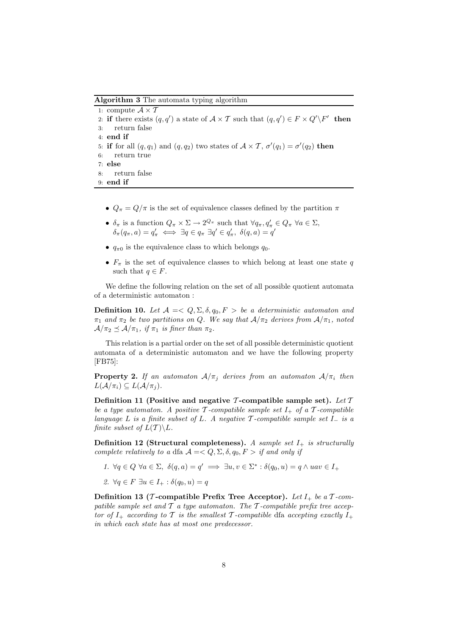Algorithm 3 The automata typing algorithm

```
1: compute A \times T2: if there exists (q, q') a state of \mathcal{A} \times \mathcal{T} such that (q, q') \in F \times Q' \backslash F' then
3: return false
4: end if
5: if for all (q, q_1) and (q, q_2) two states of A \times T, \sigma'(q_1) = \sigma'(q_2) then
6: return true
7: else
8: return false
9: end if
```
- $\bullet \enspace Q_{\pi}=Q/\pi$  is the set of equivalence classes defined by the partition  $\pi$
- $\delta_{\pi}$  is a function  $Q_{\pi} \times \Sigma \to 2^{Q_{\pi}}$  such that  $\forall q_{\pi}, q'_{\pi} \in Q_{\pi} \ \forall a \in \Sigma$ ,  $\delta_{\pi}(q_{\pi}, a) = q_{\pi}' \iff \exists q \in q_{\pi} \exists q' \in q_{\pi}', \; \delta(q, a) = q'$
- $q_{\pi0}$  is the equivalence class to which belongs  $q_0$ .
- $F_{\pi}$  is the set of equivalence classes to which belong at least one state q such that  $q \in F$ .

We define the following relation on the set of all possible quotient automata of a deterministic automaton :

Definition 10. Let  $A = \langle Q, \Sigma, \delta, q_0 \rangle$ ,  $F > be$  a deterministic automaton and  $\pi_1$  and  $\pi_2$  be two partitions on Q. We say that  $A/\pi_2$  derives from  $A/\pi_1$ , noted  $A/\pi_2 \prec A/\pi_1$ , if  $\pi_1$  is finer than  $\pi_2$ .

This relation is a partial order on the set of all possible deterministic quotient automata of a deterministic automaton and we have the following property [FB75]:

**Property 2.** If an automaton  $A/\pi_i$  derives from an automaton  $A/\pi_i$  then  $L(\mathcal{A}/\pi_i) \subseteq L(\mathcal{A}/\pi_i).$ 

Definition 11 (Positive and negative T-compatible sample set). Let  $T$ be a type automaton. A positive  $\mathcal T$ -compatible sample set  $I_+$  of a  $\mathcal T$ -compatible language L is a finite subset of L. A negative  $\mathcal T$ -compatible sample set  $I_-\$  is a finite subset of  $L(\mathcal{T}) \backslash L$ .

Definition 12 (Structural completeness). A sample set  $I_{+}$  is structurally complete relatively to a dfa  $A = \langle Q, \Sigma, \delta, q_0 \rangle$ ,  $F > i f$  and only if

- 1.  $\forall q \in Q \ \forall a \in \Sigma, \ \delta(q, a) = q' \implies \exists u, v \in \Sigma^* : \delta(q_0, u) = q \land uav \in I_+$
- 2.  $\forall q \in F \exists u \in I_+ : \delta(q_0, u) = q$

Definition 13 (*T*-compatible Prefix Tree Acceptor). Let  $I_+$  be a  $T$ -compatible sample set and  $\mathcal T$  a type automaton. The  $\mathcal T$ -compatible prefix tree acceptor of  $I_+$  according to T is the smallest T-compatible dfa accepting exactly  $I_+$ in which each state has at most one predecessor.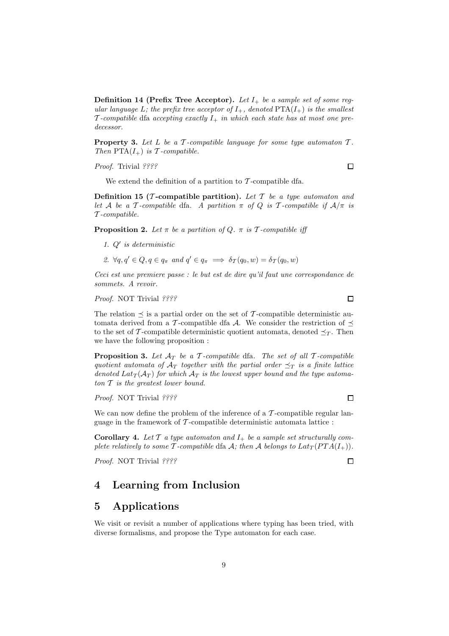**Definition 14 (Prefix Tree Acceptor).** Let  $I_+$  be a sample set of some regular language L; the prefix tree acceptor of  $I_+$ , denoted  $PTA(I_+)$  is the smallest T-compatible dfa accepting exactly  $I_+$  in which each state has at most one predecessor.

**Property 3.** Let  $L$  be a  $\mathcal T$ -compatible language for some type automaton  $\mathcal T$ . Then  $\text{PTA}(I_+)$  is T-compatible.

Proof. Trivial ????

We extend the definition of a partition to  $\mathcal T$ -compatible dfa.

Definition 15 (*T*-compatible partition). Let  $T$  be a type automaton and let A be a T-compatible dfa. A partition  $\pi$  of Q is T-compatible if  $A/\pi$  is T -compatible.

**Proposition 2.** Let  $\pi$  be a partition of Q.  $\pi$  is T-compatible iff

- 1.  $Q'$  is deterministic
- 2.  $\forall q, q' \in Q, q \in q_\pi$  and  $q' \in q_\pi \implies \delta_{\mathcal{I}}(q_0, w) = \delta_{\mathcal{I}}(q_0, w)$

Ceci est une premiere passe : le but est de dire qu'il faut une correspondance de sommets. A revoir.

Proof. NOT Trivial ????

The relation  $\preceq$  is a partial order on the set of T-compatible deterministic automata derived from a T-compatible dfa A. We consider the restriction of  $\preceq$ to the set of T-compatible deterministic quotient automata, denoted  $\preceq_T$ . Then we have the following proposition :

**Proposition 3.** Let  $A_T$  be a T-compatible dfa. The set of all T-compatible quotient automata of  $A_T$  together with the partial order  $\preceq_T$  is a finite lattice denoted  $Lat_T(A_T)$  for which  $A_T$  is the lowest upper bound and the type automaton  $T$  is the greatest lower bound.

Proof. NOT Trivial ????

We can now define the problem of the inference of a  $\mathcal T$ -compatible regular language in the framework of  $\mathcal T$ -compatible deterministic automata lattice :

**Corollary 4.** Let  $\mathcal T$  a type automaton and  $I_+$  be a sample set structurally complete relatively to some T-compatible dfa A; then A belongs to  $Lat_T(PTA(I_+)).$ 

Proof. NOT Trivial ????

# 4 Learning from Inclusion

### 5 Applications

We visit or revisit a number of applications where typing has been tried, with diverse formalisms, and propose the Type automaton for each case.

 $\Box$ 

 $\Box$ 

 $\Box$ 

 $\Box$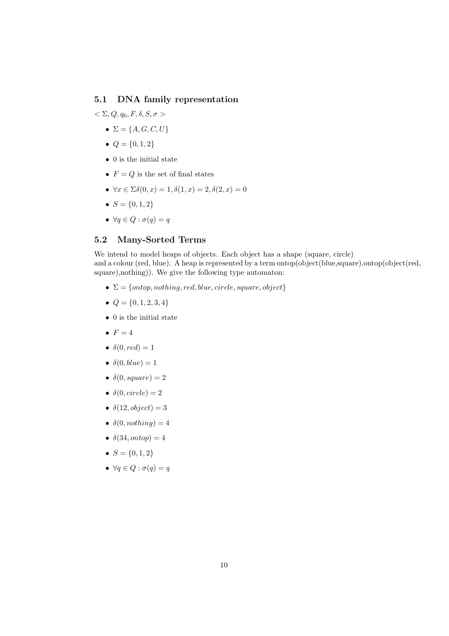### 5.1 DNA family representation

- $<\Sigma, Q, q_0, F, \delta, S, \sigma>$ 
	- $\Sigma = \{A, G, C, U\}$
	- $Q = \{0, 1, 2\}$
	- $\bullet~0$  is the initial state
	- $F = Q$  is the set of final states
	- $\forall x \in \Sigma \delta(0, x) = 1, \delta(1, x) = 2, \delta(2, x) = 0$
	- $S = \{0, 1, 2\}$
	- $\forall q \in Q : \sigma(q) = q$

# 5.2 Many-Sorted Terms

We intend to model heaps of objects. Each object has a shape (square, circle) and a colour (red, blue). A heap is represented by a term ontop(object(blue,square),ontop(object(red, square),nothing)). We give the following type automaton:

- $\Sigma = \{ontop, nothing, red, blue, circle, square, object\}$
- $Q = \{0, 1, 2, 3, 4\}$
- $\bullet~0$  is the initial state
- $\bullet$   $F = 4$
- $\delta(0, red) = 1$
- $\delta(0, blue) = 1$
- $\delta(0, square) = 2$
- $\delta(0, circle) = 2$
- $\delta(12, object) = 3$
- $\delta(0, nothing) = 4$
- $\delta(34, onto p) = 4$
- $S = \{0, 1, 2\}$
- $\forall q \in Q : \sigma(q) = q$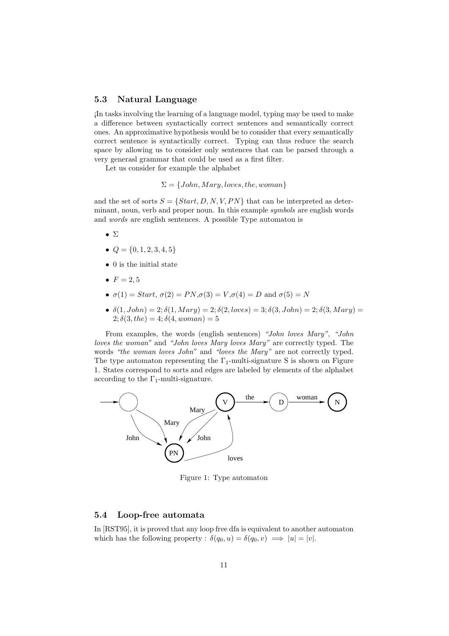#### 5.3 Natural Language

¡In tasks involving the learning of a language model, typing may be used to make a difference between syntactically correct sentences and semantically correct ones. An approximative hypothesis would be to consider that every semantically correct sentence is syntactically correct. Typing can thus reduce the search space by allowing us to consider only sentences that can be parsed through a very generasl grammar that could be used as a first filter.

Let us consider for example the alphabet

$$
\Sigma = \{John, Mary, loves, the, woman\}
$$

and the set of sorts  $S = \{Start, D, N, V, PN\}$  that can be interpreted as determinant, noun, verb and proper noun. In this example symbols are english words and words are english sentences. A possible Type automaton is

- Σ
- $Q = \{0, 1, 2, 3, 4, 5\}$
- 0 is the initial state
- $F = 2, 5$
- $\sigma(1) = Start, \sigma(2) = PN, \sigma(3) = V, \sigma(4) = D$  and  $\sigma(5) = N$
- $\delta(1, John) = 2; \delta(1, Mary) = 2; \delta(2, loves) = 3; \delta(3, John) = 2; \delta(3, Mary) = 1; \delta(4, Mary) = 1; \delta(5, Mary) = 1; \delta(6, Mary) = 1; \delta(7, Mary) = 1; \delta(8, Mary) = 1; \delta(9, Mary) = 1; \delta(1, Mary) = 1; \delta(1, Mary) = 1; \delta(1, Mary) = 1; \delta(2, (x + 1, y + 1)) = 1; \delta(3, (x + 1, y + 1, y + 1)) = 1; \delta(1, (x + 1, y + 1, y +$ 2;  $\delta(3, the) = 4$ ;  $\delta(4, woman) = 5$

From examples, the words (english sentences) "John loves Mary", "John loves the woman" and "John loves Mary loves Mary" are correctly typed. The words "the woman loves John" and "loves the Mary" are not correctly typed. The type automaton representing the  $\Gamma_1$ -multi-signature S is shown on Figure 1. States correspond to sorts and edges are labeled by elements of the alphabet according to the  $\Gamma_1$ -multi-signature.



Figure 1: Type automaton

#### 5.4 Loop-free automata

In [RST95], it is proved that any loop free dfa is equivalent to another automaton which has the following property :  $\delta(q_0, u) = \delta(q_0, v) \implies |u| = |v|$ .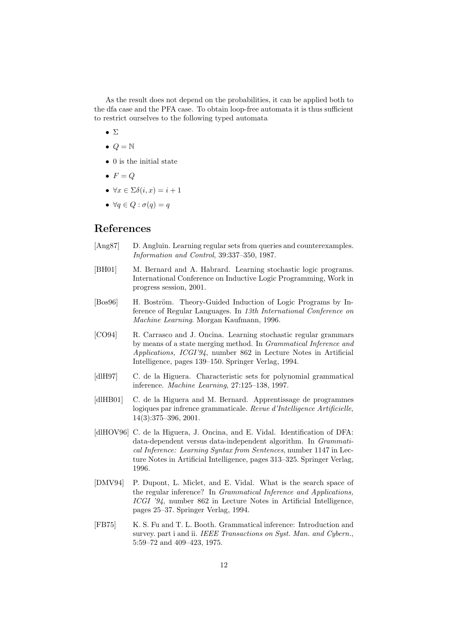As the result does not depend on the probabilities, it can be applied both to the dfa case and the PFA case. To obtain loop-free automata it is thus sufficient to restrict ourselves to the following typed automata

- Σ
- $\bullet$   $Q = N$
- 0 is the initial state
- $F = Q$
- $\forall x \in \Sigma \delta(i, x) = i + 1$
- $\forall q \in Q : \sigma(q) = q$

# References

- [Ang87] D. Angluin. Learning regular sets from queries and counterexamples. Information and Control, 39:337–350, 1987.
- [BH01] M. Bernard and A. Habrard. Learning stochastic logic programs. International Conference on Inductive Logic Programming, Work in progress session, 2001.
- [Bos96] H. Boström. Theory-Guided Induction of Logic Programs by Inference of Regular Languages. In 13th International Conference on Machine Learning. Morgan Kaufmann, 1996.
- [CO94] R. Carrasco and J. Oncina. Learning stochastic regular grammars by means of a state merging method. In Grammatical Inference and Applications, ICGI'94, number 862 in Lecture Notes in Artificial Intelligence, pages 139–150. Springer Verlag, 1994.
- [dlH97] C. de la Higuera. Characteristic sets for polynomial grammatical inference. Machine Learning, 27:125–138, 1997.
- [dlHB01] C. de la Higuera and M. Bernard. Apprentissage de programmes logiques par infrence grammaticale. Revue d'Intelligence Artificielle, 14(3):375–396, 2001.
- [dlHOV96] C. de la Higuera, J. Oncina, and E. Vidal. Identification of DFA: data-dependent versus data-independent algorithm. In Grammatical Inference: Learning Syntax from Sentences, number 1147 in Lecture Notes in Artificial Intelligence, pages 313–325. Springer Verlag, 1996.
- [DMV94] P. Dupont, L. Miclet, and E. Vidal. What is the search space of the regular inference? In Grammatical Inference and Applications, ICGI '94, number 862 in Lecture Notes in Artificial Intelligence, pages 25–37. Springer Verlag, 1994.
- [FB75] K. S. Fu and T. L. Booth. Grammatical inference: Introduction and survey. part i and ii. IEEE Transactions on Syst. Man. and Cybern., 5:59–72 and 409–423, 1975.